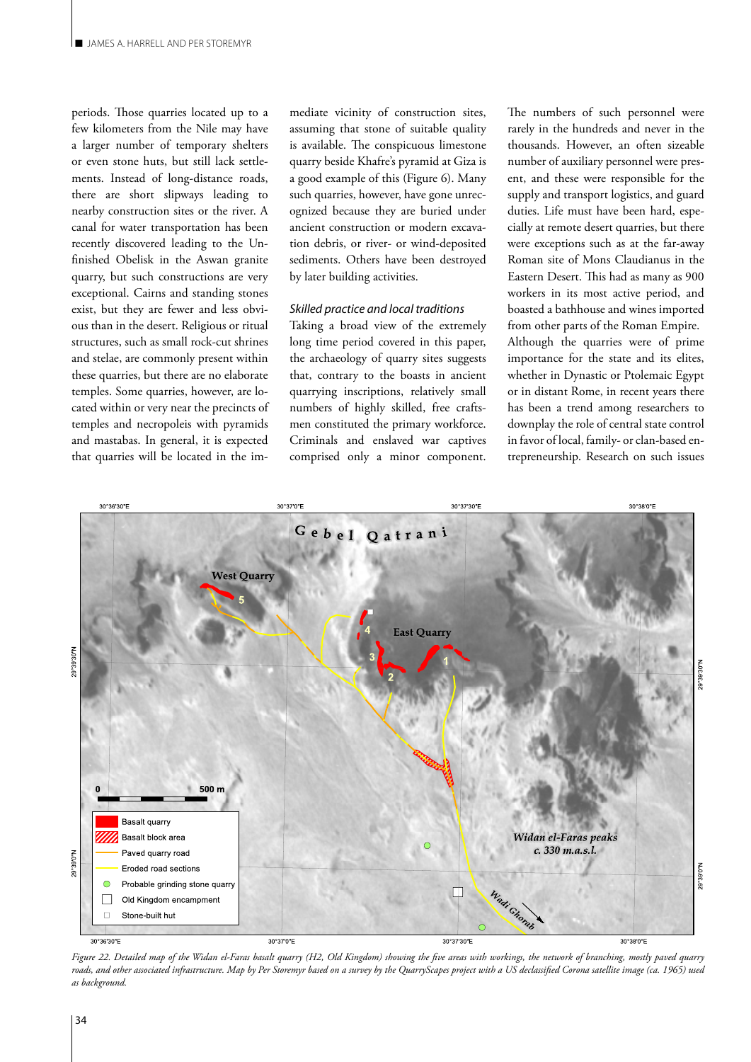periods. Those quarries located up to a few kilometers from the Nile may have a larger number of temporary shelters or even stone huts, but still lack settlements. Instead of long-distance roads, there are short slipways leading to nearby construction sites or the river. A canal for water transportation has been recently discovered leading to the Unfinished Obelisk in the Aswan granite quarry, but such constructions are very exceptional. Cairns and standing stones exist, but they are fewer and less obvious than in the desert. Religious or ritual structures, such as small rock-cut shrines and stelae, are commonly present within these quarries, but there are no elaborate temples. Some quarries, however, are located within or very near the precincts of temples and necropoleis with pyramids and mastabas. In general, it is expected that quarries will be located in the im-

mediate vicinity of construction sites, assuming that stone of suitable quality is available. The conspicuous limestone quarry beside Khafre's pyramid at Giza is a good example of this (Figure 6). Many such quarries, however, have gone unrecognized because they are buried under ancient construction or modern excavation debris, or river- or wind-deposited sediments. Others have been destroyed by later building activities.

## *Skilled practice and local traditions*

Taking a broad view of the extremely long time period covered in this paper, the archaeology of quarry sites suggests that, contrary to the boasts in ancient quarrying inscriptions, relatively small numbers of highly skilled, free craftsmen constituted the primary workforce. Criminals and enslaved war captives comprised only a minor component.

The numbers of such personnel were rarely in the hundreds and never in the thousands. However, an often sizeable number of auxiliary personnel were present, and these were responsible for the supply and transport logistics, and guard duties. Life must have been hard, especially at remote desert quarries, but there were exceptions such as at the far-away Roman site of Mons Claudianus in the Eastern Desert. This had as many as 900 workers in its most active period, and boasted a bathhouse and wines imported from other parts of the Roman Empire. Although the quarries were of prime importance for the state and its elites, whether in Dynastic or Ptolemaic Egypt or in distant Rome, in recent years there has been a trend among researchers to downplay the role of central state control in favor of local, family- or clan-based entrepreneurship. Research on such issues



*Figure 22. Detailed map of the Widan el-Faras basalt quarry (H2, Old Kingdom) showing the five areas with workings, the network of branching, mostly paved quarry roads, and other associated infrastructure. Map by Per Storemyr based on a survey by the QuarryScapes project with a US declassified Corona satellite image (ca. 1965) used as background.*